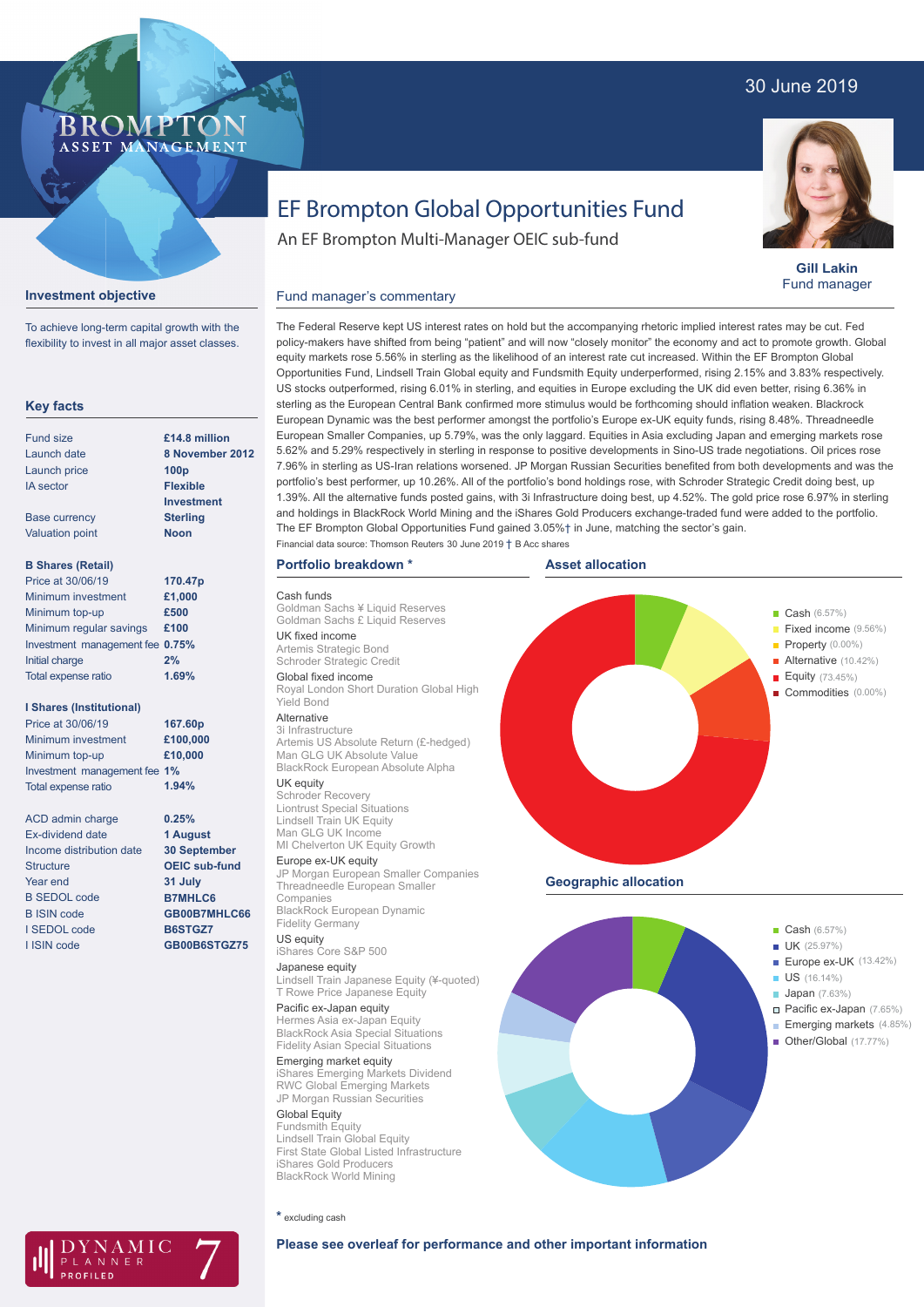# 30 June 2019



**Gill Lakin** Fund manager

# EF Brompton Global Opportunities Fund

An EF Brompton Multi-Manager OEIC sub-fund

## **Investment objective**

**Key facts**

To achieve long-term capital growth with the flexibility to invest in all major asset classes.

**BROMP** 

ASSET MANAGEMENT

#### Fund size Launch date Launch price IA sector Base currency Valuation point **B Shares (Retail)** Minimum investment Minimum top-up Minimum regular savings **£100** Investment management fee **0.75%** Initial charge Total expense ratio **8 November 2012 100p Flexible Investment Sterling Noon £1,000 £500 2% £14.8 million 170.47p** Price at 30/06/19 **1.69%**

**I Shares (Institutional)**

Minimum investment Minimum top-up Investment management fee **1%** Total expense ratio **£100,000 £10,000 167.60p** Price at 30/06/19 **1.94%**

> **0.25% 1 August 30 September OEIC sub-fund 31 July B7MHLC6 GB00B7MHLC66 B6STGZ7 GB00B6STGZ75**

ACD admin charge Ex-dividend date Income distribution date **Structure** Year end B SEDOL code B ISIN code I SEDOL code I ISIN code

## Fund manager's commentary

The Federal Reserve kept US interest rates on hold but the accompanying rhetoric implied interest rates may be cut. Fed policy-makers have shifted from being "patient" and will now "closely monitor" the economy and act to promote growth. Global equity markets rose 5.56% in sterling as the likelihood of an interest rate cut increased. Within the EF Brompton Global Opportunities Fund, Lindsell Train Global equity and Fundsmith Equity underperformed, rising 2.15% and 3.83% respectively. US stocks outperformed, rising 6.01% in sterling, and equities in Europe excluding the UK did even better, rising 6.36% in sterling as the European Central Bank confirmed more stimulus would be forthcoming should inflation weaken. Blackrock European Dynamic was the best performer amongst the portfolio's Europe ex-UK equity funds, rising 8.48%. Threadneedle European Smaller Companies, up 5.79%, was the only laggard. Equities in Asia excluding Japan and emerging markets rose 5.62% and 5.29% respectively in sterling in response to positive developments in Sino-US trade negotiations. Oil prices rose 7.96% in sterling as US-Iran relations worsened. JP Morgan Russian Securities benefited from both developments and was the portfolio's best performer, up 10.26%. All of the portfolio's bond holdings rose, with Schroder Strategic Credit doing best, up 1.39%. All the alternative funds posted gains, with 3i Infrastructure doing best, up 4.52%. The gold price rose 6.97% in sterling and holdings in BlackRock World Mining and the iShares Gold Producers exchange-traded fund were added to the portfolio. The EF Brompton Global Opportunities Fund gained 3.05%† in June, matching the sector's gain. Financial data source: Thomson Reuters 30 June 2019 † B Acc shares

#### **Portfolio breakdown \***

Cash funds Goldman Sachs ¥ Liquid Reserves Goldman Sachs £ Liquid Reserves UK fixed income Artemis Strategic Bond Schroder Strategic Credit Global fixed income Royal London Short Duration Global High Yield Bond Alternative 3i Infrastructure Artemis US Absolute Return (£-hedged) Man GLG UK Absolute Value

BlackRock European Absolute Alpha UK equity

## Schroder Recovery

Liontrust Special Situations Lindsell Train UK Equity Man GLG UK Income MI Chelverton UK Equity Growth Europe ex-UK equity JP Morgan European Smaller Companies

Threadneedle European Smaller Companies BlackRock European Dynamic Fidelity Germany

US equity iShares Core S&P 500

Japanese equity Lindsell Train Japanese Equity (¥-quoted) T Rowe Price Japanese Equity

Pacific ex-Japan equity Hermes Asia ex-Japan Equity BlackRock Asia Special Situations

Fidelity Asian Special Situations Emerging market equity iShares Emerging Markets Dividend RWC Global Emerging Markets JP Morgan Russian Securities

Global Equity Fundsmith Equity Lindsell Train Global Equity First State Global Listed Infrastructure iShares Gold Producers BlackRock World Mining





**Geographic allocation**